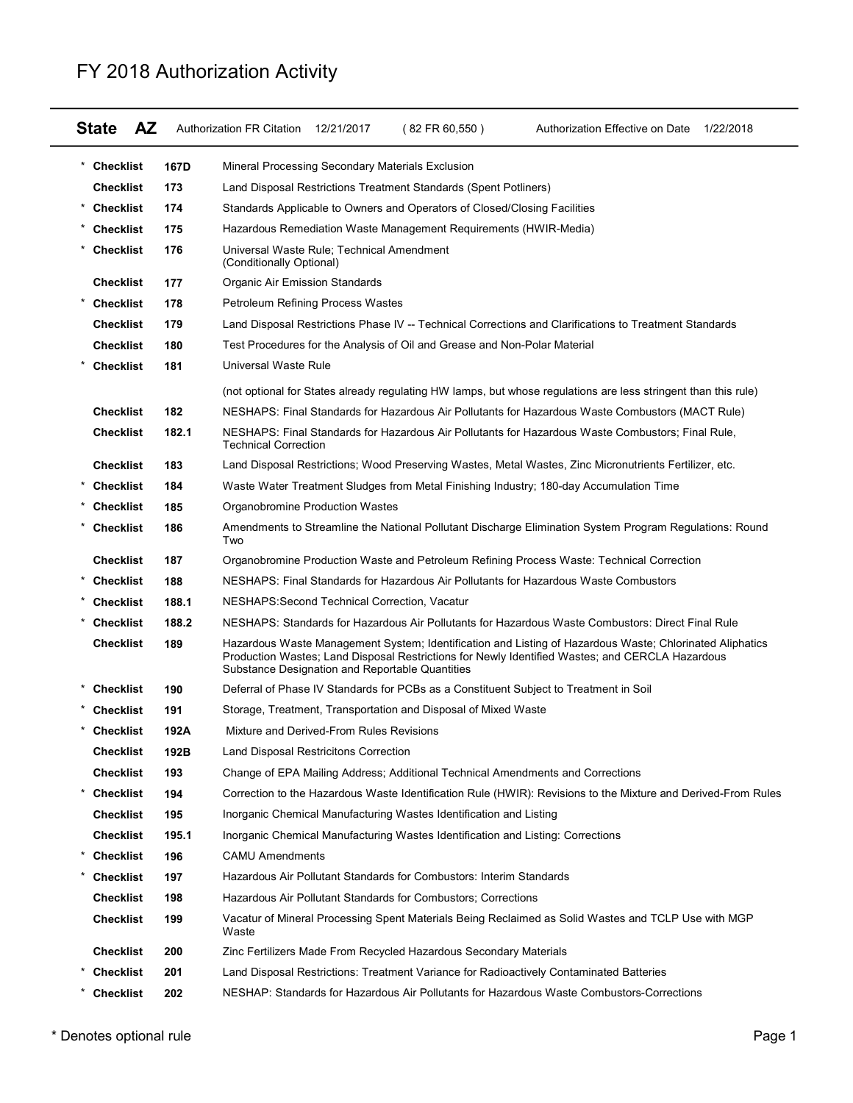|                           |       | FY 2018 Authorization Activity                                                                                                                                                                                                                                 |
|---------------------------|-------|----------------------------------------------------------------------------------------------------------------------------------------------------------------------------------------------------------------------------------------------------------------|
|                           |       |                                                                                                                                                                                                                                                                |
| <b>AZ</b><br><b>State</b> |       | Authorization FR Citation<br>12/21/2017<br>(82 FR 60,550)<br>Authorization Effective on Date 1/22/2018                                                                                                                                                         |
| * Checklist               | 167D  | Mineral Processing Secondary Materials Exclusion                                                                                                                                                                                                               |
| <b>Checklist</b>          | 173   | Land Disposal Restrictions Treatment Standards (Spent Potliners)                                                                                                                                                                                               |
| <b>Checklist</b>          | 174   | Standards Applicable to Owners and Operators of Closed/Closing Facilities                                                                                                                                                                                      |
| * Checklist               | 175   | Hazardous Remediation Waste Management Requirements (HWIR-Media)                                                                                                                                                                                               |
| Checklist                 | 176   | Universal Waste Rule; Technical Amendment                                                                                                                                                                                                                      |
|                           |       | (Conditionally Optional)                                                                                                                                                                                                                                       |
| <b>Checklist</b>          | 177   | <b>Organic Air Emission Standards</b>                                                                                                                                                                                                                          |
| * Checklist               | 178   | Petroleum Refining Process Wastes                                                                                                                                                                                                                              |
| <b>Checklist</b>          | 179   | Land Disposal Restrictions Phase IV -- Technical Corrections and Clarifications to Treatment Standards                                                                                                                                                         |
| <b>Checklist</b>          | 180   | Test Procedures for the Analysis of Oil and Grease and Non-Polar Material                                                                                                                                                                                      |
| <b>Checklist</b>          | 181   | Universal Waste Rule                                                                                                                                                                                                                                           |
|                           |       | (not optional for States already regulating HW lamps, but whose regulations are less stringent than this rule)                                                                                                                                                 |
| <b>Checklist</b>          | 182   | NESHAPS: Final Standards for Hazardous Air Pollutants for Hazardous Waste Combustors (MACT Rule)                                                                                                                                                               |
| <b>Checklist</b>          | 182.1 | NESHAPS: Final Standards for Hazardous Air Pollutants for Hazardous Waste Combustors; Final Rule,<br><b>Technical Correction</b>                                                                                                                               |
| <b>Checklist</b>          | 183   | Land Disposal Restrictions; Wood Preserving Wastes, Metal Wastes, Zinc Micronutrients Fertilizer, etc.                                                                                                                                                         |
| <b>Checklist</b>          | 184   | Waste Water Treatment Sludges from Metal Finishing Industry; 180-day Accumulation Time                                                                                                                                                                         |
| Checklist                 | 185   | Organobromine Production Wastes                                                                                                                                                                                                                                |
| * Checklist               | 186   | Amendments to Streamline the National Pollutant Discharge Elimination System Program Regulations: Round<br>Two                                                                                                                                                 |
| <b>Checklist</b>          | 187   | Organobromine Production Waste and Petroleum Refining Process Waste: Technical Correction                                                                                                                                                                      |
| <b>Checklist</b>          | 188   | NESHAPS: Final Standards for Hazardous Air Pollutants for Hazardous Waste Combustors                                                                                                                                                                           |
| <b>Checklist</b>          | 188.1 | NESHAPS: Second Technical Correction, Vacatur                                                                                                                                                                                                                  |
| <b>Checklist</b>          | 188.2 | NESHAPS: Standards for Hazardous Air Pollutants for Hazardous Waste Combustors: Direct Final Rule                                                                                                                                                              |
| <b>Checklist</b>          | 189   | Hazardous Waste Management System; Identification and Listing of Hazardous Waste; Chlorinated Aliphatics<br>Production Wastes; Land Disposal Restrictions for Newly Identified Wastes; and CERCLA Hazardous<br>Substance Designation and Reportable Quantities |
| Checklist                 | 190   | Deferral of Phase IV Standards for PCBs as a Constituent Subject to Treatment in Soil                                                                                                                                                                          |
| <b>Checklist</b>          | 191   | Storage, Treatment, Transportation and Disposal of Mixed Waste                                                                                                                                                                                                 |
| Checklist                 | 192A  | Mixture and Derived-From Rules Revisions                                                                                                                                                                                                                       |
| <b>Checklist</b>          | 192B  | Land Disposal Restricitons Correction                                                                                                                                                                                                                          |
| <b>Checklist</b>          | 193   | Change of EPA Mailing Address; Additional Technical Amendments and Corrections                                                                                                                                                                                 |
| <b>Checklist</b>          | 194   | Correction to the Hazardous Waste Identification Rule (HWIR): Revisions to the Mixture and Derived-From Rules                                                                                                                                                  |
| <b>Checklist</b>          | 195   | Inorganic Chemical Manufacturing Wastes Identification and Listing                                                                                                                                                                                             |
| <b>Checklist</b>          | 195.1 | Inorganic Chemical Manufacturing Wastes Identification and Listing: Corrections                                                                                                                                                                                |
| Checklist                 | 196   | <b>CAMU Amendments</b>                                                                                                                                                                                                                                         |
|                           | 197   | Hazardous Air Pollutant Standards for Combustors: Interim Standards                                                                                                                                                                                            |
| Checklist                 | 198   | Hazardous Air Pollutant Standards for Combustors; Corrections                                                                                                                                                                                                  |
| <b>Checklist</b>          |       | Vacatur of Mineral Processing Spent Materials Being Reclaimed as Solid Wastes and TCLP Use with MGP                                                                                                                                                            |
| <b>Checklist</b>          | 199   | Waste                                                                                                                                                                                                                                                          |
| <b>Checklist</b>          | 200   | Zinc Fertilizers Made From Recycled Hazardous Secondary Materials                                                                                                                                                                                              |
| * Checklist               | 201   | Land Disposal Restrictions: Treatment Variance for Radioactively Contaminated Batteries                                                                                                                                                                        |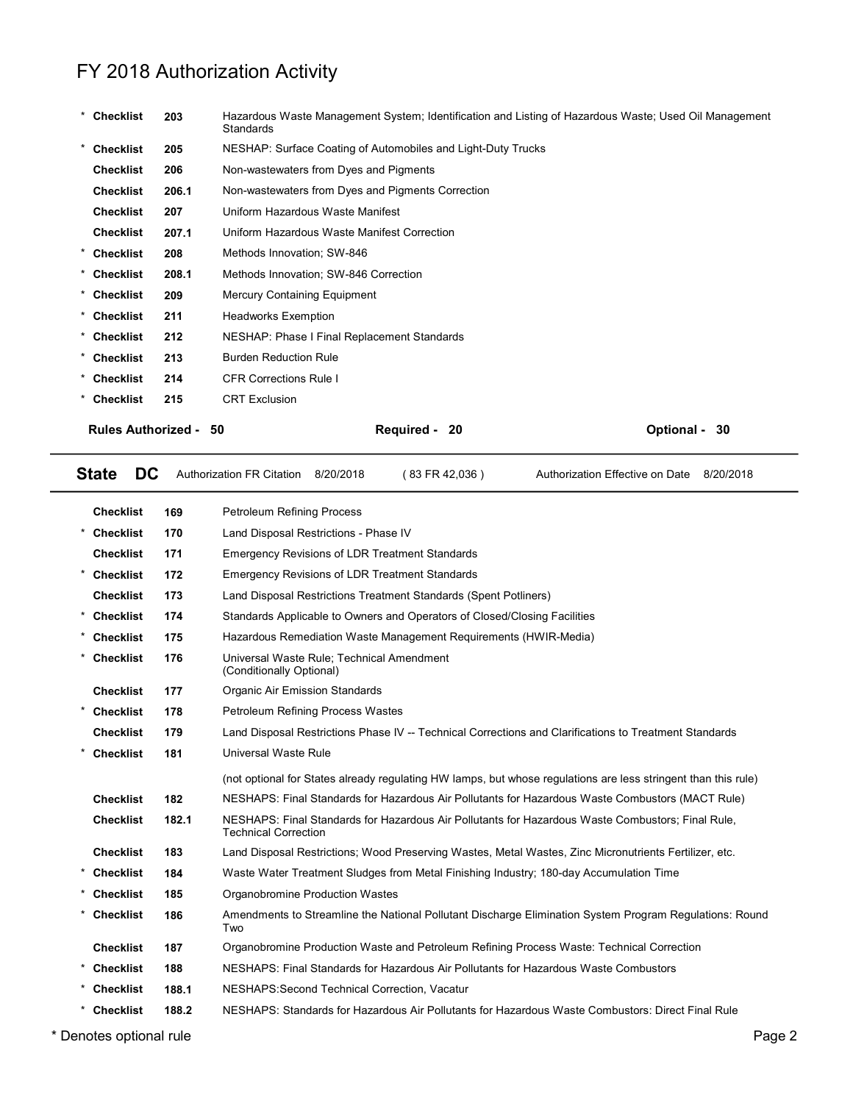|                           |       | FY 2018 Authorization Activity                                                                                     |                                           |
|---------------------------|-------|--------------------------------------------------------------------------------------------------------------------|-------------------------------------------|
|                           |       |                                                                                                                    |                                           |
| * Checklist               | 203   | Hazardous Waste Management System; Identification and Listing of Hazardous Waste; Used Oil Management<br>Standards |                                           |
| <b>Checklist</b>          | 205   | NESHAP: Surface Coating of Automobiles and Light-Duty Trucks                                                       |                                           |
| <b>Checklist</b>          | 206   | Non-wastewaters from Dyes and Pigments                                                                             |                                           |
| <b>Checklist</b>          | 206.1 | Non-wastewaters from Dyes and Pigments Correction                                                                  |                                           |
| <b>Checklist</b>          | 207   | Uniform Hazardous Waste Manifest                                                                                   |                                           |
| <b>Checklist</b>          | 207.1 | Uniform Hazardous Waste Manifest Correction                                                                        |                                           |
| <b>Checklist</b>          | 208   | Methods Innovation; SW-846                                                                                         |                                           |
| <b>Checklist</b>          | 208.1 | Methods Innovation; SW-846 Correction                                                                              |                                           |
| <b>Checklist</b>          | 209   | Mercury Containing Equipment                                                                                       |                                           |
| <b>Checklist</b>          | 211   | <b>Headworks Exemption</b>                                                                                         |                                           |
| <b>Checklist</b>          | 212   | NESHAP: Phase I Final Replacement Standards                                                                        |                                           |
| Checklist                 | 213   | <b>Burden Reduction Rule</b>                                                                                       |                                           |
| <b>Checklist</b>          | 214   | <b>CFR Corrections Rule I</b>                                                                                      |                                           |
| <b>Checklist</b>          | 215   | <b>CRT Exclusion</b>                                                                                               |                                           |
| <b>Rules Authorized -</b> |       | 50<br>Required - 20                                                                                                | Optional - 30                             |
|                           |       |                                                                                                                    |                                           |
| <b>State</b><br><b>DC</b> |       | Authorization FR Citation 8/20/2018<br>(83 FR 42,036)                                                              | Authorization Effective on Date 8/20/2018 |
| <b>Checklist</b>          | 169   | <b>Petroleum Refining Process</b>                                                                                  |                                           |
| <b>Checklist</b>          | 170   | Land Disposal Restrictions - Phase IV                                                                              |                                           |
| <b>Checklist</b>          | 171   | <b>Emergency Revisions of LDR Treatment Standards</b>                                                              |                                           |

| Checklist        | 207.1                        | Uniform Hazardous Waste Manifest Correction                           |                                                                           |                                                                                                                |  |  |  |  |  |  |
|------------------|------------------------------|-----------------------------------------------------------------------|---------------------------------------------------------------------------|----------------------------------------------------------------------------------------------------------------|--|--|--|--|--|--|
| * Checklist      | 208                          | Methods Innovation; SW-846                                            |                                                                           |                                                                                                                |  |  |  |  |  |  |
| * Checklist      | 208.1                        | Methods Innovation; SW-846 Correction                                 |                                                                           |                                                                                                                |  |  |  |  |  |  |
| Checklist        | 209                          | <b>Mercury Containing Equipment</b>                                   |                                                                           |                                                                                                                |  |  |  |  |  |  |
| * Checklist      | 211                          | <b>Headworks Exemption</b>                                            |                                                                           |                                                                                                                |  |  |  |  |  |  |
| * Checklist      | 212                          | NESHAP: Phase I Final Replacement Standards                           |                                                                           |                                                                                                                |  |  |  |  |  |  |
| * Checklist      | 213                          | <b>Burden Reduction Rule</b>                                          |                                                                           |                                                                                                                |  |  |  |  |  |  |
| * Checklist      | 214                          | <b>CFR Corrections Rule I</b>                                         |                                                                           |                                                                                                                |  |  |  |  |  |  |
| * Checklist      | 215                          | <b>CRT Exclusion</b>                                                  |                                                                           |                                                                                                                |  |  |  |  |  |  |
|                  | <b>Rules Authorized - 50</b> |                                                                       | Required - 20                                                             | Optional - 30                                                                                                  |  |  |  |  |  |  |
| <b>State</b>     | DC                           | Authorization FR Citation 8/20/2018                                   | (83 FR 42,036)                                                            | Authorization Effective on Date 8/20/2018                                                                      |  |  |  |  |  |  |
| <b>Checklist</b> | 169                          | Petroleum Refining Process                                            |                                                                           |                                                                                                                |  |  |  |  |  |  |
| <b>Checklist</b> | 170                          | Land Disposal Restrictions - Phase IV                                 |                                                                           |                                                                                                                |  |  |  |  |  |  |
| <b>Checklist</b> | 171                          | <b>Emergency Revisions of LDR Treatment Standards</b>                 |                                                                           |                                                                                                                |  |  |  |  |  |  |
| <b>Checklist</b> | 172                          | <b>Emergency Revisions of LDR Treatment Standards</b>                 |                                                                           |                                                                                                                |  |  |  |  |  |  |
| <b>Checklist</b> | 173                          |                                                                       | Land Disposal Restrictions Treatment Standards (Spent Potliners)          |                                                                                                                |  |  |  |  |  |  |
| * Checklist      | 174                          |                                                                       | Standards Applicable to Owners and Operators of Closed/Closing Facilities |                                                                                                                |  |  |  |  |  |  |
| * Checklist      | 175                          |                                                                       | Hazardous Remediation Waste Management Requirements (HWIR-Media)          |                                                                                                                |  |  |  |  |  |  |
| * Checklist      | 176                          | Universal Waste Rule; Technical Amendment<br>(Conditionally Optional) |                                                                           |                                                                                                                |  |  |  |  |  |  |
| <b>Checklist</b> | 177                          | Organic Air Emission Standards                                        |                                                                           |                                                                                                                |  |  |  |  |  |  |
| <b>Checklist</b> | 178                          | Petroleum Refining Process Wastes                                     |                                                                           |                                                                                                                |  |  |  |  |  |  |
| <b>Checklist</b> | 179                          |                                                                       |                                                                           | Land Disposal Restrictions Phase IV -- Technical Corrections and Clarifications to Treatment Standards         |  |  |  |  |  |  |
| <b>Checklist</b> | 181                          | Universal Waste Rule                                                  |                                                                           |                                                                                                                |  |  |  |  |  |  |
|                  |                              |                                                                       |                                                                           | (not optional for States already regulating HW lamps, but whose regulations are less stringent than this rule) |  |  |  |  |  |  |
| <b>Checklist</b> | 182                          |                                                                       |                                                                           | NESHAPS: Final Standards for Hazardous Air Pollutants for Hazardous Waste Combustors (MACT Rule)               |  |  |  |  |  |  |
| <b>Checklist</b> | 182.1                        | <b>Technical Correction</b>                                           |                                                                           | NESHAPS: Final Standards for Hazardous Air Pollutants for Hazardous Waste Combustors; Final Rule,              |  |  |  |  |  |  |
| <b>Checklist</b> | 183                          |                                                                       |                                                                           | Land Disposal Restrictions; Wood Preserving Wastes, Metal Wastes, Zinc Micronutrients Fertilizer, etc.         |  |  |  |  |  |  |
| <b>Checklist</b> | 184                          |                                                                       |                                                                           | Waste Water Treatment Sludges from Metal Finishing Industry; 180-day Accumulation Time                         |  |  |  |  |  |  |
| <b>Checklist</b> | 185                          | Organobromine Production Wastes                                       |                                                                           |                                                                                                                |  |  |  |  |  |  |
| <b>Checklist</b> | 186                          | Two                                                                   |                                                                           | Amendments to Streamline the National Pollutant Discharge Elimination System Program Regulations: Round        |  |  |  |  |  |  |
| <b>Checklist</b> | 187                          |                                                                       |                                                                           | Organobromine Production Waste and Petroleum Refining Process Waste: Technical Correction                      |  |  |  |  |  |  |
| <b>Checklist</b> | 188                          |                                                                       |                                                                           | NESHAPS: Final Standards for Hazardous Air Pollutants for Hazardous Waste Combustors                           |  |  |  |  |  |  |
| <b>Checklist</b> | 188.1                        | NESHAPS: Second Technical Correction, Vacatur                         |                                                                           |                                                                                                                |  |  |  |  |  |  |
| * Checklist      | 188.2                        |                                                                       |                                                                           | NESHAPS: Standards for Hazardous Air Pollutants for Hazardous Waste Combustors: Direct Final Rule              |  |  |  |  |  |  |
|                  | enotes ontional rule.        |                                                                       |                                                                           | Page 2                                                                                                         |  |  |  |  |  |  |

\* Denotes optional rule Page 2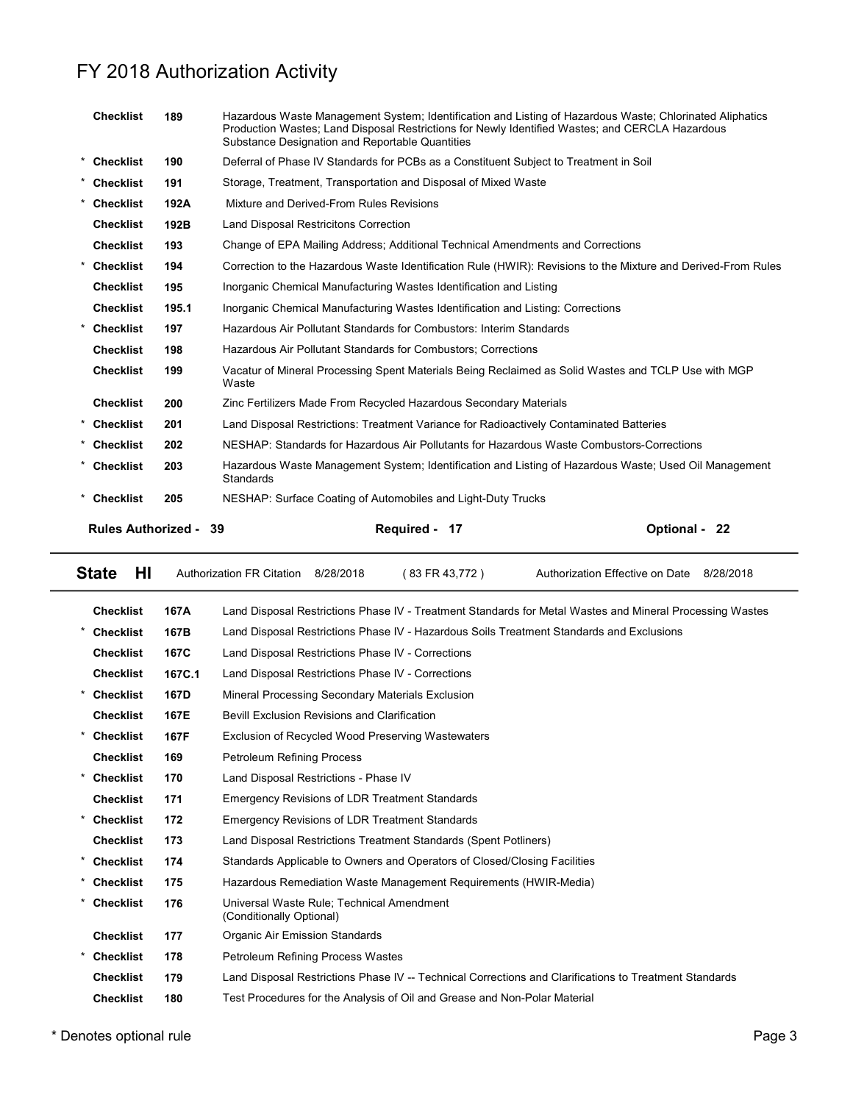|                       |       | FY 2018 Authorization Activity                                                                                                                                                                                                                                 |                                              |
|-----------------------|-------|----------------------------------------------------------------------------------------------------------------------------------------------------------------------------------------------------------------------------------------------------------------|----------------------------------------------|
|                       |       |                                                                                                                                                                                                                                                                |                                              |
| <b>Checklist</b>      | 189   | Hazardous Waste Management System; Identification and Listing of Hazardous Waste; Chlorinated Aliphatics<br>Production Wastes; Land Disposal Restrictions for Newly Identified Wastes; and CERCLA Hazardous<br>Substance Designation and Reportable Quantities |                                              |
| Checklist             | 190   | Deferral of Phase IV Standards for PCBs as a Constituent Subject to Treatment in Soil                                                                                                                                                                          |                                              |
| Checklist             | 191   | Storage, Treatment, Transportation and Disposal of Mixed Waste                                                                                                                                                                                                 |                                              |
| Checklist             | 192A  | Mixture and Derived-From Rules Revisions                                                                                                                                                                                                                       |                                              |
| <b>Checklist</b>      | 192B  | <b>Land Disposal Restricitons Correction</b>                                                                                                                                                                                                                   |                                              |
| <b>Checklist</b>      | 193   | Change of EPA Mailing Address; Additional Technical Amendments and Corrections                                                                                                                                                                                 |                                              |
| * Checklist           | 194   | Correction to the Hazardous Waste Identification Rule (HWIR): Revisions to the Mixture and Derived-From Rules                                                                                                                                                  |                                              |
| <b>Checklist</b>      | 195   | Inorganic Chemical Manufacturing Wastes Identification and Listing                                                                                                                                                                                             |                                              |
| Checklist             | 195.1 | Inorganic Chemical Manufacturing Wastes Identification and Listing: Corrections                                                                                                                                                                                |                                              |
| <b>Checklist</b>      | 197   | Hazardous Air Pollutant Standards for Combustors: Interim Standards                                                                                                                                                                                            |                                              |
| <b>Checklist</b>      | 198   | Hazardous Air Pollutant Standards for Combustors; Corrections                                                                                                                                                                                                  |                                              |
| <b>Checklist</b>      | 199   | Vacatur of Mineral Processing Spent Materials Being Reclaimed as Solid Wastes and TCLP Use with MGP<br>Waste                                                                                                                                                   |                                              |
| <b>Checklist</b>      | 200   | Zinc Fertilizers Made From Recycled Hazardous Secondary Materials                                                                                                                                                                                              |                                              |
| Checklist             | 201   | Land Disposal Restrictions: Treatment Variance for Radioactively Contaminated Batteries                                                                                                                                                                        |                                              |
| Checklist             | 202   | NESHAP: Standards for Hazardous Air Pollutants for Hazardous Waste Combustors-Corrections                                                                                                                                                                      |                                              |
| <b>Checklist</b>      | 203   | Hazardous Waste Management System; Identification and Listing of Hazardous Waste; Used Oil Management<br>Standards                                                                                                                                             |                                              |
| Checklist             | 205   | NESHAP: Surface Coating of Automobiles and Light-Duty Trucks                                                                                                                                                                                                   |                                              |
| Rules Authorized - 39 |       | Required - 17                                                                                                                                                                                                                                                  | Optional - 22                                |
| HI<br><b>State</b>    |       | Authorization FR Citation<br>8/28/2018<br>(83 FR 43,772)                                                                                                                                                                                                       | Authorization Effective on Date<br>8/28/2018 |
| <b>Checklist</b>      | 167A  | Land Disposal Restrictions Phase IV - Treatment Standards for Metal Wastes and Mineral Processing Wastes                                                                                                                                                       |                                              |

| UNGUNISL                     | 190    | Hazardous Air Foliutarii Stariuarus for Combustors, Corrections                                                    |  |  |  |  |  |  |  |
|------------------------------|--------|--------------------------------------------------------------------------------------------------------------------|--|--|--|--|--|--|--|
| <b>Checklist</b>             | 199    | Vacatur of Mineral Processing Spent Materials Being Reclaimed as Solid Wastes and TCLP Use with MGP<br>Waste       |  |  |  |  |  |  |  |
| <b>Checklist</b>             | 200    | Zinc Fertilizers Made From Recycled Hazardous Secondary Materials                                                  |  |  |  |  |  |  |  |
| <b>Checklist</b>             | 201    | Land Disposal Restrictions: Treatment Variance for Radioactively Contaminated Batteries                            |  |  |  |  |  |  |  |
| * Checklist                  | 202    | NESHAP: Standards for Hazardous Air Pollutants for Hazardous Waste Combustors-Corrections                          |  |  |  |  |  |  |  |
| * Checklist                  | 203    | Hazardous Waste Management System; Identification and Listing of Hazardous Waste; Used Oil Management<br>Standards |  |  |  |  |  |  |  |
| * Checklist                  | 205    | NESHAP: Surface Coating of Automobiles and Light-Duty Trucks                                                       |  |  |  |  |  |  |  |
| <b>Rules Authorized - 39</b> |        | Required - 17<br>Optional - 22                                                                                     |  |  |  |  |  |  |  |
| <b>State</b><br>HI           |        | Authorization FR Citation 8/28/2018<br>(83 FR 43,772)<br>Authorization Effective on Date 8/28/2018                 |  |  |  |  |  |  |  |
| <b>Checklist</b>             | 167A   | Land Disposal Restrictions Phase IV - Treatment Standards for Metal Wastes and Mineral Processing Wastes           |  |  |  |  |  |  |  |
| <b>Checklist</b>             | 167B   | Land Disposal Restrictions Phase IV - Hazardous Soils Treatment Standards and Exclusions                           |  |  |  |  |  |  |  |
| <b>Checklist</b>             | 167C   | Land Disposal Restrictions Phase IV - Corrections                                                                  |  |  |  |  |  |  |  |
| <b>Checklist</b>             | 167C.1 | Land Disposal Restrictions Phase IV - Corrections                                                                  |  |  |  |  |  |  |  |
| <b>Checklist</b>             | 167D   | Mineral Processing Secondary Materials Exclusion                                                                   |  |  |  |  |  |  |  |
| <b>Checklist</b>             | 167E   | <b>Bevill Exclusion Revisions and Clarification</b>                                                                |  |  |  |  |  |  |  |
| * Checklist                  | 167F   | Exclusion of Recycled Wood Preserving Wastewaters                                                                  |  |  |  |  |  |  |  |
| <b>Checklist</b>             | 169    | <b>Petroleum Refining Process</b>                                                                                  |  |  |  |  |  |  |  |
| <b>Checklist</b>             | 170    | Land Disposal Restrictions - Phase IV                                                                              |  |  |  |  |  |  |  |
| <b>Checklist</b>             | 171    | <b>Emergency Revisions of LDR Treatment Standards</b>                                                              |  |  |  |  |  |  |  |
| <b>Checklist</b>             | 172    | <b>Emergency Revisions of LDR Treatment Standards</b>                                                              |  |  |  |  |  |  |  |
| <b>Checklist</b>             | 173    | Land Disposal Restrictions Treatment Standards (Spent Potliners)                                                   |  |  |  |  |  |  |  |
| * Checklist                  | 174    | Standards Applicable to Owners and Operators of Closed/Closing Facilities                                          |  |  |  |  |  |  |  |
| <b>Checklist</b>             | 175    | Hazardous Remediation Waste Management Requirements (HWIR-Media)                                                   |  |  |  |  |  |  |  |
| * Checklist                  | 176    | Universal Waste Rule; Technical Amendment<br>(Conditionally Optional)                                              |  |  |  |  |  |  |  |
| <b>Checklist</b>             | 177    | Organic Air Emission Standards                                                                                     |  |  |  |  |  |  |  |
| <b>Checklist</b>             | 178    | <b>Petroleum Refining Process Wastes</b>                                                                           |  |  |  |  |  |  |  |
| <b>Checklist</b>             | 179    | Land Disposal Restrictions Phase IV -- Technical Corrections and Clarifications to Treatment Standards             |  |  |  |  |  |  |  |
| <b>Checklist</b>             | 180    | Test Procedures for the Analysis of Oil and Grease and Non-Polar Material                                          |  |  |  |  |  |  |  |
|                              |        |                                                                                                                    |  |  |  |  |  |  |  |

### \* Denotes optional rule Page 3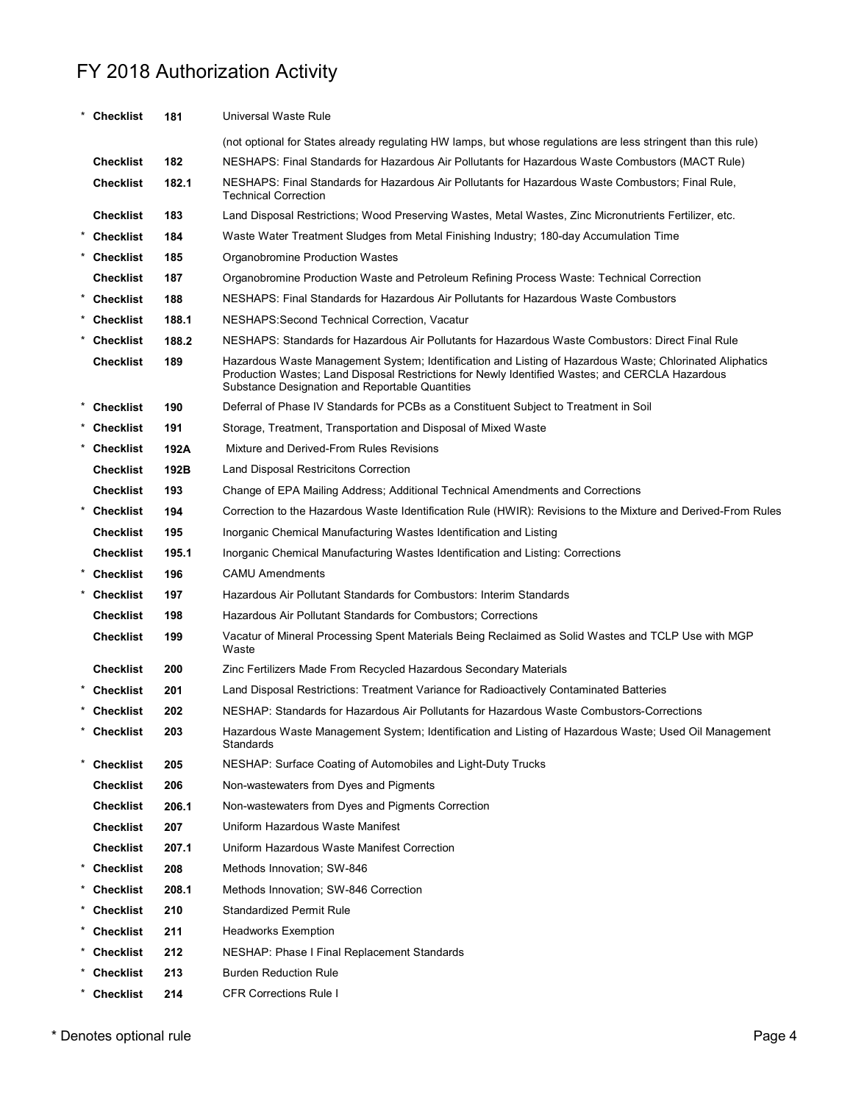| FY 2018 Authorization Activity<br>Universal Waste Rule<br>* Checklist<br>181<br>(not optional for States already regulating HW lamps, but whose regulations are less stringent than this rule)<br><b>Checklist</b><br>182<br>NESHAPS: Final Standards for Hazardous Air Pollutants for Hazardous Waste Combustors (MACT Rule)<br><b>Checklist</b><br>182.1<br>NESHAPS: Final Standards for Hazardous Air Pollutants for Hazardous Waste Combustors; Final Rule,<br><b>Technical Correction</b><br><b>Checklist</b><br>183<br>Land Disposal Restrictions; Wood Preserving Wastes, Metal Wastes, Zinc Micronutrients Fertilizer, etc.<br>* Checklist<br>184<br>Waste Water Treatment Sludges from Metal Finishing Industry; 180-day Accumulation Time<br>* Checklist<br>185<br>Organobromine Production Wastes<br>187<br><b>Checklist</b><br>Organobromine Production Waste and Petroleum Refining Process Waste: Technical Correction<br>* Checklist<br>188<br>NESHAPS: Final Standards for Hazardous Air Pollutants for Hazardous Waste Combustors<br>* Checklist<br>188.1<br>NESHAPS: Second Technical Correction, Vacatur<br>* Checklist<br>188.2<br>NESHAPS: Standards for Hazardous Air Pollutants for Hazardous Waste Combustors: Direct Final Rule<br><b>Checklist</b><br>189<br>Hazardous Waste Management System; Identification and Listing of Hazardous Waste; Chlorinated Aliphatics<br>Production Wastes; Land Disposal Restrictions for Newly Identified Wastes; and CERCLA Hazardous<br>Substance Designation and Reportable Quantities<br>* Checklist<br>190<br>Deferral of Phase IV Standards for PCBs as a Constituent Subject to Treatment in Soil<br>* Checklist<br>191<br>Storage, Treatment, Transportation and Disposal of Mixed Waste<br>* Checklist<br>192A<br>Mixture and Derived-From Rules Revisions<br>192B<br><b>Checklist</b><br>Land Disposal Restricitons Correction<br>193<br><b>Checklist</b><br>Change of EPA Mailing Address; Additional Technical Amendments and Corrections<br>$\star$<br><b>Checklist</b><br>194<br>195<br><b>Checklist</b><br>Inorganic Chemical Manufacturing Wastes Identification and Listing<br><b>Checklist</b><br>195.1<br>Inorganic Chemical Manufacturing Wastes Identification and Listing: Corrections<br>* Checklist<br>196<br><b>CAMU Amendments</b><br>Hazardous Air Pollutant Standards for Combustors: Interim Standards<br><b>Checklist</b><br>197<br>198<br>Hazardous Air Pollutant Standards for Combustors; Corrections<br><b>Checklist</b><br>Vacatur of Mineral Processing Spent Materials Being Reclaimed as Solid Wastes and TCLP Use with MGP<br><b>Checklist</b><br>199<br>Waste<br><b>Checklist</b><br>200<br>Zinc Fertilizers Made From Recycled Hazardous Secondary Materials<br>* Checklist<br>201<br>Land Disposal Restrictions: Treatment Variance for Radioactively Contaminated Batteries<br>* Checklist<br>202<br>NESHAP: Standards for Hazardous Air Pollutants for Hazardous Waste Combustors-Corrections<br><b>Checklist</b><br>203<br>Hazardous Waste Management System; Identification and Listing of Hazardous Waste; Used Oil Management<br>Standards<br><b>Checklist</b><br>NESHAP: Surface Coating of Automobiles and Light-Duty Trucks<br>205<br><b>Checklist</b><br>206<br>Non-wastewaters from Dyes and Pigments<br><b>Checklist</b><br>206.1<br>Non-wastewaters from Dyes and Pigments Correction<br><b>Checklist</b><br>207<br>Uniform Hazardous Waste Manifest<br><b>Checklist</b><br>207.1<br>Uniform Hazardous Waste Manifest Correction<br>* Checklist<br>208<br>Methods Innovation; SW-846<br>* Checklist<br>208.1<br>Methods Innovation; SW-846 Correction<br>* Checklist<br>210<br><b>Standardized Permit Rule</b><br>* Checklist<br>211<br><b>Headworks Exemption</b><br>* Checklist<br>212<br>NESHAP: Phase I Final Replacement Standards<br><b>Burden Reduction Rule</b><br><b>Checklist</b><br>213 |                     |                                                                                                               |
|-----------------------------------------------------------------------------------------------------------------------------------------------------------------------------------------------------------------------------------------------------------------------------------------------------------------------------------------------------------------------------------------------------------------------------------------------------------------------------------------------------------------------------------------------------------------------------------------------------------------------------------------------------------------------------------------------------------------------------------------------------------------------------------------------------------------------------------------------------------------------------------------------------------------------------------------------------------------------------------------------------------------------------------------------------------------------------------------------------------------------------------------------------------------------------------------------------------------------------------------------------------------------------------------------------------------------------------------------------------------------------------------------------------------------------------------------------------------------------------------------------------------------------------------------------------------------------------------------------------------------------------------------------------------------------------------------------------------------------------------------------------------------------------------------------------------------------------------------------------------------------------------------------------------------------------------------------------------------------------------------------------------------------------------------------------------------------------------------------------------------------------------------------------------------------------------------------------------------------------------------------------------------------------------------------------------------------------------------------------------------------------------------------------------------------------------------------------------------------------------------------------------------------------------------------------------------------------------------------------------------------------------------------------------------------------------------------------------------------------------------------------------------------------------------------------------------------------------------------------------------------------------------------------------------------------------------------------------------------------------------------------------------------------------------------------------------------------------------------------------------------------------------------------------------------------------------------------------------------------------------------------------------------------------------------------------------------------------------------------------------------------------------------------------------------------------------------------------------------------------------------------------------------------------------------------------------------------------------------------------------------------------------------------------------------------------------------------------------------------------------------------------------------------------------------------------------------------------------------------------------------------------------------------------------|---------------------|---------------------------------------------------------------------------------------------------------------|
|                                                                                                                                                                                                                                                                                                                                                                                                                                                                                                                                                                                                                                                                                                                                                                                                                                                                                                                                                                                                                                                                                                                                                                                                                                                                                                                                                                                                                                                                                                                                                                                                                                                                                                                                                                                                                                                                                                                                                                                                                                                                                                                                                                                                                                                                                                                                                                                                                                                                                                                                                                                                                                                                                                                                                                                                                                                                                                                                                                                                                                                                                                                                                                                                                                                                                                                                                                                                                                                                                                                                                                                                                                                                                                                                                                                                                                                                                                                       |                     |                                                                                                               |
|                                                                                                                                                                                                                                                                                                                                                                                                                                                                                                                                                                                                                                                                                                                                                                                                                                                                                                                                                                                                                                                                                                                                                                                                                                                                                                                                                                                                                                                                                                                                                                                                                                                                                                                                                                                                                                                                                                                                                                                                                                                                                                                                                                                                                                                                                                                                                                                                                                                                                                                                                                                                                                                                                                                                                                                                                                                                                                                                                                                                                                                                                                                                                                                                                                                                                                                                                                                                                                                                                                                                                                                                                                                                                                                                                                                                                                                                                                                       |                     |                                                                                                               |
|                                                                                                                                                                                                                                                                                                                                                                                                                                                                                                                                                                                                                                                                                                                                                                                                                                                                                                                                                                                                                                                                                                                                                                                                                                                                                                                                                                                                                                                                                                                                                                                                                                                                                                                                                                                                                                                                                                                                                                                                                                                                                                                                                                                                                                                                                                                                                                                                                                                                                                                                                                                                                                                                                                                                                                                                                                                                                                                                                                                                                                                                                                                                                                                                                                                                                                                                                                                                                                                                                                                                                                                                                                                                                                                                                                                                                                                                                                                       |                     |                                                                                                               |
|                                                                                                                                                                                                                                                                                                                                                                                                                                                                                                                                                                                                                                                                                                                                                                                                                                                                                                                                                                                                                                                                                                                                                                                                                                                                                                                                                                                                                                                                                                                                                                                                                                                                                                                                                                                                                                                                                                                                                                                                                                                                                                                                                                                                                                                                                                                                                                                                                                                                                                                                                                                                                                                                                                                                                                                                                                                                                                                                                                                                                                                                                                                                                                                                                                                                                                                                                                                                                                                                                                                                                                                                                                                                                                                                                                                                                                                                                                                       |                     |                                                                                                               |
|                                                                                                                                                                                                                                                                                                                                                                                                                                                                                                                                                                                                                                                                                                                                                                                                                                                                                                                                                                                                                                                                                                                                                                                                                                                                                                                                                                                                                                                                                                                                                                                                                                                                                                                                                                                                                                                                                                                                                                                                                                                                                                                                                                                                                                                                                                                                                                                                                                                                                                                                                                                                                                                                                                                                                                                                                                                                                                                                                                                                                                                                                                                                                                                                                                                                                                                                                                                                                                                                                                                                                                                                                                                                                                                                                                                                                                                                                                                       |                     |                                                                                                               |
|                                                                                                                                                                                                                                                                                                                                                                                                                                                                                                                                                                                                                                                                                                                                                                                                                                                                                                                                                                                                                                                                                                                                                                                                                                                                                                                                                                                                                                                                                                                                                                                                                                                                                                                                                                                                                                                                                                                                                                                                                                                                                                                                                                                                                                                                                                                                                                                                                                                                                                                                                                                                                                                                                                                                                                                                                                                                                                                                                                                                                                                                                                                                                                                                                                                                                                                                                                                                                                                                                                                                                                                                                                                                                                                                                                                                                                                                                                                       |                     |                                                                                                               |
|                                                                                                                                                                                                                                                                                                                                                                                                                                                                                                                                                                                                                                                                                                                                                                                                                                                                                                                                                                                                                                                                                                                                                                                                                                                                                                                                                                                                                                                                                                                                                                                                                                                                                                                                                                                                                                                                                                                                                                                                                                                                                                                                                                                                                                                                                                                                                                                                                                                                                                                                                                                                                                                                                                                                                                                                                                                                                                                                                                                                                                                                                                                                                                                                                                                                                                                                                                                                                                                                                                                                                                                                                                                                                                                                                                                                                                                                                                                       |                     |                                                                                                               |
|                                                                                                                                                                                                                                                                                                                                                                                                                                                                                                                                                                                                                                                                                                                                                                                                                                                                                                                                                                                                                                                                                                                                                                                                                                                                                                                                                                                                                                                                                                                                                                                                                                                                                                                                                                                                                                                                                                                                                                                                                                                                                                                                                                                                                                                                                                                                                                                                                                                                                                                                                                                                                                                                                                                                                                                                                                                                                                                                                                                                                                                                                                                                                                                                                                                                                                                                                                                                                                                                                                                                                                                                                                                                                                                                                                                                                                                                                                                       |                     |                                                                                                               |
|                                                                                                                                                                                                                                                                                                                                                                                                                                                                                                                                                                                                                                                                                                                                                                                                                                                                                                                                                                                                                                                                                                                                                                                                                                                                                                                                                                                                                                                                                                                                                                                                                                                                                                                                                                                                                                                                                                                                                                                                                                                                                                                                                                                                                                                                                                                                                                                                                                                                                                                                                                                                                                                                                                                                                                                                                                                                                                                                                                                                                                                                                                                                                                                                                                                                                                                                                                                                                                                                                                                                                                                                                                                                                                                                                                                                                                                                                                                       |                     |                                                                                                               |
|                                                                                                                                                                                                                                                                                                                                                                                                                                                                                                                                                                                                                                                                                                                                                                                                                                                                                                                                                                                                                                                                                                                                                                                                                                                                                                                                                                                                                                                                                                                                                                                                                                                                                                                                                                                                                                                                                                                                                                                                                                                                                                                                                                                                                                                                                                                                                                                                                                                                                                                                                                                                                                                                                                                                                                                                                                                                                                                                                                                                                                                                                                                                                                                                                                                                                                                                                                                                                                                                                                                                                                                                                                                                                                                                                                                                                                                                                                                       |                     |                                                                                                               |
|                                                                                                                                                                                                                                                                                                                                                                                                                                                                                                                                                                                                                                                                                                                                                                                                                                                                                                                                                                                                                                                                                                                                                                                                                                                                                                                                                                                                                                                                                                                                                                                                                                                                                                                                                                                                                                                                                                                                                                                                                                                                                                                                                                                                                                                                                                                                                                                                                                                                                                                                                                                                                                                                                                                                                                                                                                                                                                                                                                                                                                                                                                                                                                                                                                                                                                                                                                                                                                                                                                                                                                                                                                                                                                                                                                                                                                                                                                                       |                     |                                                                                                               |
|                                                                                                                                                                                                                                                                                                                                                                                                                                                                                                                                                                                                                                                                                                                                                                                                                                                                                                                                                                                                                                                                                                                                                                                                                                                                                                                                                                                                                                                                                                                                                                                                                                                                                                                                                                                                                                                                                                                                                                                                                                                                                                                                                                                                                                                                                                                                                                                                                                                                                                                                                                                                                                                                                                                                                                                                                                                                                                                                                                                                                                                                                                                                                                                                                                                                                                                                                                                                                                                                                                                                                                                                                                                                                                                                                                                                                                                                                                                       |                     |                                                                                                               |
|                                                                                                                                                                                                                                                                                                                                                                                                                                                                                                                                                                                                                                                                                                                                                                                                                                                                                                                                                                                                                                                                                                                                                                                                                                                                                                                                                                                                                                                                                                                                                                                                                                                                                                                                                                                                                                                                                                                                                                                                                                                                                                                                                                                                                                                                                                                                                                                                                                                                                                                                                                                                                                                                                                                                                                                                                                                                                                                                                                                                                                                                                                                                                                                                                                                                                                                                                                                                                                                                                                                                                                                                                                                                                                                                                                                                                                                                                                                       |                     |                                                                                                               |
|                                                                                                                                                                                                                                                                                                                                                                                                                                                                                                                                                                                                                                                                                                                                                                                                                                                                                                                                                                                                                                                                                                                                                                                                                                                                                                                                                                                                                                                                                                                                                                                                                                                                                                                                                                                                                                                                                                                                                                                                                                                                                                                                                                                                                                                                                                                                                                                                                                                                                                                                                                                                                                                                                                                                                                                                                                                                                                                                                                                                                                                                                                                                                                                                                                                                                                                                                                                                                                                                                                                                                                                                                                                                                                                                                                                                                                                                                                                       |                     |                                                                                                               |
|                                                                                                                                                                                                                                                                                                                                                                                                                                                                                                                                                                                                                                                                                                                                                                                                                                                                                                                                                                                                                                                                                                                                                                                                                                                                                                                                                                                                                                                                                                                                                                                                                                                                                                                                                                                                                                                                                                                                                                                                                                                                                                                                                                                                                                                                                                                                                                                                                                                                                                                                                                                                                                                                                                                                                                                                                                                                                                                                                                                                                                                                                                                                                                                                                                                                                                                                                                                                                                                                                                                                                                                                                                                                                                                                                                                                                                                                                                                       |                     |                                                                                                               |
|                                                                                                                                                                                                                                                                                                                                                                                                                                                                                                                                                                                                                                                                                                                                                                                                                                                                                                                                                                                                                                                                                                                                                                                                                                                                                                                                                                                                                                                                                                                                                                                                                                                                                                                                                                                                                                                                                                                                                                                                                                                                                                                                                                                                                                                                                                                                                                                                                                                                                                                                                                                                                                                                                                                                                                                                                                                                                                                                                                                                                                                                                                                                                                                                                                                                                                                                                                                                                                                                                                                                                                                                                                                                                                                                                                                                                                                                                                                       |                     |                                                                                                               |
|                                                                                                                                                                                                                                                                                                                                                                                                                                                                                                                                                                                                                                                                                                                                                                                                                                                                                                                                                                                                                                                                                                                                                                                                                                                                                                                                                                                                                                                                                                                                                                                                                                                                                                                                                                                                                                                                                                                                                                                                                                                                                                                                                                                                                                                                                                                                                                                                                                                                                                                                                                                                                                                                                                                                                                                                                                                                                                                                                                                                                                                                                                                                                                                                                                                                                                                                                                                                                                                                                                                                                                                                                                                                                                                                                                                                                                                                                                                       |                     |                                                                                                               |
|                                                                                                                                                                                                                                                                                                                                                                                                                                                                                                                                                                                                                                                                                                                                                                                                                                                                                                                                                                                                                                                                                                                                                                                                                                                                                                                                                                                                                                                                                                                                                                                                                                                                                                                                                                                                                                                                                                                                                                                                                                                                                                                                                                                                                                                                                                                                                                                                                                                                                                                                                                                                                                                                                                                                                                                                                                                                                                                                                                                                                                                                                                                                                                                                                                                                                                                                                                                                                                                                                                                                                                                                                                                                                                                                                                                                                                                                                                                       |                     |                                                                                                               |
|                                                                                                                                                                                                                                                                                                                                                                                                                                                                                                                                                                                                                                                                                                                                                                                                                                                                                                                                                                                                                                                                                                                                                                                                                                                                                                                                                                                                                                                                                                                                                                                                                                                                                                                                                                                                                                                                                                                                                                                                                                                                                                                                                                                                                                                                                                                                                                                                                                                                                                                                                                                                                                                                                                                                                                                                                                                                                                                                                                                                                                                                                                                                                                                                                                                                                                                                                                                                                                                                                                                                                                                                                                                                                                                                                                                                                                                                                                                       |                     |                                                                                                               |
|                                                                                                                                                                                                                                                                                                                                                                                                                                                                                                                                                                                                                                                                                                                                                                                                                                                                                                                                                                                                                                                                                                                                                                                                                                                                                                                                                                                                                                                                                                                                                                                                                                                                                                                                                                                                                                                                                                                                                                                                                                                                                                                                                                                                                                                                                                                                                                                                                                                                                                                                                                                                                                                                                                                                                                                                                                                                                                                                                                                                                                                                                                                                                                                                                                                                                                                                                                                                                                                                                                                                                                                                                                                                                                                                                                                                                                                                                                                       |                     |                                                                                                               |
|                                                                                                                                                                                                                                                                                                                                                                                                                                                                                                                                                                                                                                                                                                                                                                                                                                                                                                                                                                                                                                                                                                                                                                                                                                                                                                                                                                                                                                                                                                                                                                                                                                                                                                                                                                                                                                                                                                                                                                                                                                                                                                                                                                                                                                                                                                                                                                                                                                                                                                                                                                                                                                                                                                                                                                                                                                                                                                                                                                                                                                                                                                                                                                                                                                                                                                                                                                                                                                                                                                                                                                                                                                                                                                                                                                                                                                                                                                                       |                     |                                                                                                               |
|                                                                                                                                                                                                                                                                                                                                                                                                                                                                                                                                                                                                                                                                                                                                                                                                                                                                                                                                                                                                                                                                                                                                                                                                                                                                                                                                                                                                                                                                                                                                                                                                                                                                                                                                                                                                                                                                                                                                                                                                                                                                                                                                                                                                                                                                                                                                                                                                                                                                                                                                                                                                                                                                                                                                                                                                                                                                                                                                                                                                                                                                                                                                                                                                                                                                                                                                                                                                                                                                                                                                                                                                                                                                                                                                                                                                                                                                                                                       |                     |                                                                                                               |
|                                                                                                                                                                                                                                                                                                                                                                                                                                                                                                                                                                                                                                                                                                                                                                                                                                                                                                                                                                                                                                                                                                                                                                                                                                                                                                                                                                                                                                                                                                                                                                                                                                                                                                                                                                                                                                                                                                                                                                                                                                                                                                                                                                                                                                                                                                                                                                                                                                                                                                                                                                                                                                                                                                                                                                                                                                                                                                                                                                                                                                                                                                                                                                                                                                                                                                                                                                                                                                                                                                                                                                                                                                                                                                                                                                                                                                                                                                                       |                     | Correction to the Hazardous Waste Identification Rule (HWIR): Revisions to the Mixture and Derived-From Rules |
|                                                                                                                                                                                                                                                                                                                                                                                                                                                                                                                                                                                                                                                                                                                                                                                                                                                                                                                                                                                                                                                                                                                                                                                                                                                                                                                                                                                                                                                                                                                                                                                                                                                                                                                                                                                                                                                                                                                                                                                                                                                                                                                                                                                                                                                                                                                                                                                                                                                                                                                                                                                                                                                                                                                                                                                                                                                                                                                                                                                                                                                                                                                                                                                                                                                                                                                                                                                                                                                                                                                                                                                                                                                                                                                                                                                                                                                                                                                       |                     |                                                                                                               |
|                                                                                                                                                                                                                                                                                                                                                                                                                                                                                                                                                                                                                                                                                                                                                                                                                                                                                                                                                                                                                                                                                                                                                                                                                                                                                                                                                                                                                                                                                                                                                                                                                                                                                                                                                                                                                                                                                                                                                                                                                                                                                                                                                                                                                                                                                                                                                                                                                                                                                                                                                                                                                                                                                                                                                                                                                                                                                                                                                                                                                                                                                                                                                                                                                                                                                                                                                                                                                                                                                                                                                                                                                                                                                                                                                                                                                                                                                                                       |                     |                                                                                                               |
|                                                                                                                                                                                                                                                                                                                                                                                                                                                                                                                                                                                                                                                                                                                                                                                                                                                                                                                                                                                                                                                                                                                                                                                                                                                                                                                                                                                                                                                                                                                                                                                                                                                                                                                                                                                                                                                                                                                                                                                                                                                                                                                                                                                                                                                                                                                                                                                                                                                                                                                                                                                                                                                                                                                                                                                                                                                                                                                                                                                                                                                                                                                                                                                                                                                                                                                                                                                                                                                                                                                                                                                                                                                                                                                                                                                                                                                                                                                       |                     |                                                                                                               |
|                                                                                                                                                                                                                                                                                                                                                                                                                                                                                                                                                                                                                                                                                                                                                                                                                                                                                                                                                                                                                                                                                                                                                                                                                                                                                                                                                                                                                                                                                                                                                                                                                                                                                                                                                                                                                                                                                                                                                                                                                                                                                                                                                                                                                                                                                                                                                                                                                                                                                                                                                                                                                                                                                                                                                                                                                                                                                                                                                                                                                                                                                                                                                                                                                                                                                                                                                                                                                                                                                                                                                                                                                                                                                                                                                                                                                                                                                                                       |                     |                                                                                                               |
|                                                                                                                                                                                                                                                                                                                                                                                                                                                                                                                                                                                                                                                                                                                                                                                                                                                                                                                                                                                                                                                                                                                                                                                                                                                                                                                                                                                                                                                                                                                                                                                                                                                                                                                                                                                                                                                                                                                                                                                                                                                                                                                                                                                                                                                                                                                                                                                                                                                                                                                                                                                                                                                                                                                                                                                                                                                                                                                                                                                                                                                                                                                                                                                                                                                                                                                                                                                                                                                                                                                                                                                                                                                                                                                                                                                                                                                                                                                       |                     |                                                                                                               |
|                                                                                                                                                                                                                                                                                                                                                                                                                                                                                                                                                                                                                                                                                                                                                                                                                                                                                                                                                                                                                                                                                                                                                                                                                                                                                                                                                                                                                                                                                                                                                                                                                                                                                                                                                                                                                                                                                                                                                                                                                                                                                                                                                                                                                                                                                                                                                                                                                                                                                                                                                                                                                                                                                                                                                                                                                                                                                                                                                                                                                                                                                                                                                                                                                                                                                                                                                                                                                                                                                                                                                                                                                                                                                                                                                                                                                                                                                                                       |                     |                                                                                                               |
|                                                                                                                                                                                                                                                                                                                                                                                                                                                                                                                                                                                                                                                                                                                                                                                                                                                                                                                                                                                                                                                                                                                                                                                                                                                                                                                                                                                                                                                                                                                                                                                                                                                                                                                                                                                                                                                                                                                                                                                                                                                                                                                                                                                                                                                                                                                                                                                                                                                                                                                                                                                                                                                                                                                                                                                                                                                                                                                                                                                                                                                                                                                                                                                                                                                                                                                                                                                                                                                                                                                                                                                                                                                                                                                                                                                                                                                                                                                       |                     |                                                                                                               |
|                                                                                                                                                                                                                                                                                                                                                                                                                                                                                                                                                                                                                                                                                                                                                                                                                                                                                                                                                                                                                                                                                                                                                                                                                                                                                                                                                                                                                                                                                                                                                                                                                                                                                                                                                                                                                                                                                                                                                                                                                                                                                                                                                                                                                                                                                                                                                                                                                                                                                                                                                                                                                                                                                                                                                                                                                                                                                                                                                                                                                                                                                                                                                                                                                                                                                                                                                                                                                                                                                                                                                                                                                                                                                                                                                                                                                                                                                                                       |                     |                                                                                                               |
|                                                                                                                                                                                                                                                                                                                                                                                                                                                                                                                                                                                                                                                                                                                                                                                                                                                                                                                                                                                                                                                                                                                                                                                                                                                                                                                                                                                                                                                                                                                                                                                                                                                                                                                                                                                                                                                                                                                                                                                                                                                                                                                                                                                                                                                                                                                                                                                                                                                                                                                                                                                                                                                                                                                                                                                                                                                                                                                                                                                                                                                                                                                                                                                                                                                                                                                                                                                                                                                                                                                                                                                                                                                                                                                                                                                                                                                                                                                       |                     |                                                                                                               |
|                                                                                                                                                                                                                                                                                                                                                                                                                                                                                                                                                                                                                                                                                                                                                                                                                                                                                                                                                                                                                                                                                                                                                                                                                                                                                                                                                                                                                                                                                                                                                                                                                                                                                                                                                                                                                                                                                                                                                                                                                                                                                                                                                                                                                                                                                                                                                                                                                                                                                                                                                                                                                                                                                                                                                                                                                                                                                                                                                                                                                                                                                                                                                                                                                                                                                                                                                                                                                                                                                                                                                                                                                                                                                                                                                                                                                                                                                                                       |                     |                                                                                                               |
|                                                                                                                                                                                                                                                                                                                                                                                                                                                                                                                                                                                                                                                                                                                                                                                                                                                                                                                                                                                                                                                                                                                                                                                                                                                                                                                                                                                                                                                                                                                                                                                                                                                                                                                                                                                                                                                                                                                                                                                                                                                                                                                                                                                                                                                                                                                                                                                                                                                                                                                                                                                                                                                                                                                                                                                                                                                                                                                                                                                                                                                                                                                                                                                                                                                                                                                                                                                                                                                                                                                                                                                                                                                                                                                                                                                                                                                                                                                       |                     |                                                                                                               |
|                                                                                                                                                                                                                                                                                                                                                                                                                                                                                                                                                                                                                                                                                                                                                                                                                                                                                                                                                                                                                                                                                                                                                                                                                                                                                                                                                                                                                                                                                                                                                                                                                                                                                                                                                                                                                                                                                                                                                                                                                                                                                                                                                                                                                                                                                                                                                                                                                                                                                                                                                                                                                                                                                                                                                                                                                                                                                                                                                                                                                                                                                                                                                                                                                                                                                                                                                                                                                                                                                                                                                                                                                                                                                                                                                                                                                                                                                                                       |                     |                                                                                                               |
|                                                                                                                                                                                                                                                                                                                                                                                                                                                                                                                                                                                                                                                                                                                                                                                                                                                                                                                                                                                                                                                                                                                                                                                                                                                                                                                                                                                                                                                                                                                                                                                                                                                                                                                                                                                                                                                                                                                                                                                                                                                                                                                                                                                                                                                                                                                                                                                                                                                                                                                                                                                                                                                                                                                                                                                                                                                                                                                                                                                                                                                                                                                                                                                                                                                                                                                                                                                                                                                                                                                                                                                                                                                                                                                                                                                                                                                                                                                       |                     |                                                                                                               |
|                                                                                                                                                                                                                                                                                                                                                                                                                                                                                                                                                                                                                                                                                                                                                                                                                                                                                                                                                                                                                                                                                                                                                                                                                                                                                                                                                                                                                                                                                                                                                                                                                                                                                                                                                                                                                                                                                                                                                                                                                                                                                                                                                                                                                                                                                                                                                                                                                                                                                                                                                                                                                                                                                                                                                                                                                                                                                                                                                                                                                                                                                                                                                                                                                                                                                                                                                                                                                                                                                                                                                                                                                                                                                                                                                                                                                                                                                                                       |                     |                                                                                                               |
|                                                                                                                                                                                                                                                                                                                                                                                                                                                                                                                                                                                                                                                                                                                                                                                                                                                                                                                                                                                                                                                                                                                                                                                                                                                                                                                                                                                                                                                                                                                                                                                                                                                                                                                                                                                                                                                                                                                                                                                                                                                                                                                                                                                                                                                                                                                                                                                                                                                                                                                                                                                                                                                                                                                                                                                                                                                                                                                                                                                                                                                                                                                                                                                                                                                                                                                                                                                                                                                                                                                                                                                                                                                                                                                                                                                                                                                                                                                       |                     |                                                                                                               |
|                                                                                                                                                                                                                                                                                                                                                                                                                                                                                                                                                                                                                                                                                                                                                                                                                                                                                                                                                                                                                                                                                                                                                                                                                                                                                                                                                                                                                                                                                                                                                                                                                                                                                                                                                                                                                                                                                                                                                                                                                                                                                                                                                                                                                                                                                                                                                                                                                                                                                                                                                                                                                                                                                                                                                                                                                                                                                                                                                                                                                                                                                                                                                                                                                                                                                                                                                                                                                                                                                                                                                                                                                                                                                                                                                                                                                                                                                                                       |                     |                                                                                                               |
|                                                                                                                                                                                                                                                                                                                                                                                                                                                                                                                                                                                                                                                                                                                                                                                                                                                                                                                                                                                                                                                                                                                                                                                                                                                                                                                                                                                                                                                                                                                                                                                                                                                                                                                                                                                                                                                                                                                                                                                                                                                                                                                                                                                                                                                                                                                                                                                                                                                                                                                                                                                                                                                                                                                                                                                                                                                                                                                                                                                                                                                                                                                                                                                                                                                                                                                                                                                                                                                                                                                                                                                                                                                                                                                                                                                                                                                                                                                       |                     |                                                                                                               |
|                                                                                                                                                                                                                                                                                                                                                                                                                                                                                                                                                                                                                                                                                                                                                                                                                                                                                                                                                                                                                                                                                                                                                                                                                                                                                                                                                                                                                                                                                                                                                                                                                                                                                                                                                                                                                                                                                                                                                                                                                                                                                                                                                                                                                                                                                                                                                                                                                                                                                                                                                                                                                                                                                                                                                                                                                                                                                                                                                                                                                                                                                                                                                                                                                                                                                                                                                                                                                                                                                                                                                                                                                                                                                                                                                                                                                                                                                                                       |                     |                                                                                                               |
|                                                                                                                                                                                                                                                                                                                                                                                                                                                                                                                                                                                                                                                                                                                                                                                                                                                                                                                                                                                                                                                                                                                                                                                                                                                                                                                                                                                                                                                                                                                                                                                                                                                                                                                                                                                                                                                                                                                                                                                                                                                                                                                                                                                                                                                                                                                                                                                                                                                                                                                                                                                                                                                                                                                                                                                                                                                                                                                                                                                                                                                                                                                                                                                                                                                                                                                                                                                                                                                                                                                                                                                                                                                                                                                                                                                                                                                                                                                       |                     |                                                                                                               |
|                                                                                                                                                                                                                                                                                                                                                                                                                                                                                                                                                                                                                                                                                                                                                                                                                                                                                                                                                                                                                                                                                                                                                                                                                                                                                                                                                                                                                                                                                                                                                                                                                                                                                                                                                                                                                                                                                                                                                                                                                                                                                                                                                                                                                                                                                                                                                                                                                                                                                                                                                                                                                                                                                                                                                                                                                                                                                                                                                                                                                                                                                                                                                                                                                                                                                                                                                                                                                                                                                                                                                                                                                                                                                                                                                                                                                                                                                                                       |                     |                                                                                                               |
| <b>CFR Corrections Rule I</b><br>* Checklist<br>214                                                                                                                                                                                                                                                                                                                                                                                                                                                                                                                                                                                                                                                                                                                                                                                                                                                                                                                                                                                                                                                                                                                                                                                                                                                                                                                                                                                                                                                                                                                                                                                                                                                                                                                                                                                                                                                                                                                                                                                                                                                                                                                                                                                                                                                                                                                                                                                                                                                                                                                                                                                                                                                                                                                                                                                                                                                                                                                                                                                                                                                                                                                                                                                                                                                                                                                                                                                                                                                                                                                                                                                                                                                                                                                                                                                                                                                                   |                     |                                                                                                               |
|                                                                                                                                                                                                                                                                                                                                                                                                                                                                                                                                                                                                                                                                                                                                                                                                                                                                                                                                                                                                                                                                                                                                                                                                                                                                                                                                                                                                                                                                                                                                                                                                                                                                                                                                                                                                                                                                                                                                                                                                                                                                                                                                                                                                                                                                                                                                                                                                                                                                                                                                                                                                                                                                                                                                                                                                                                                                                                                                                                                                                                                                                                                                                                                                                                                                                                                                                                                                                                                                                                                                                                                                                                                                                                                                                                                                                                                                                                                       | notes optional rule | Page 4                                                                                                        |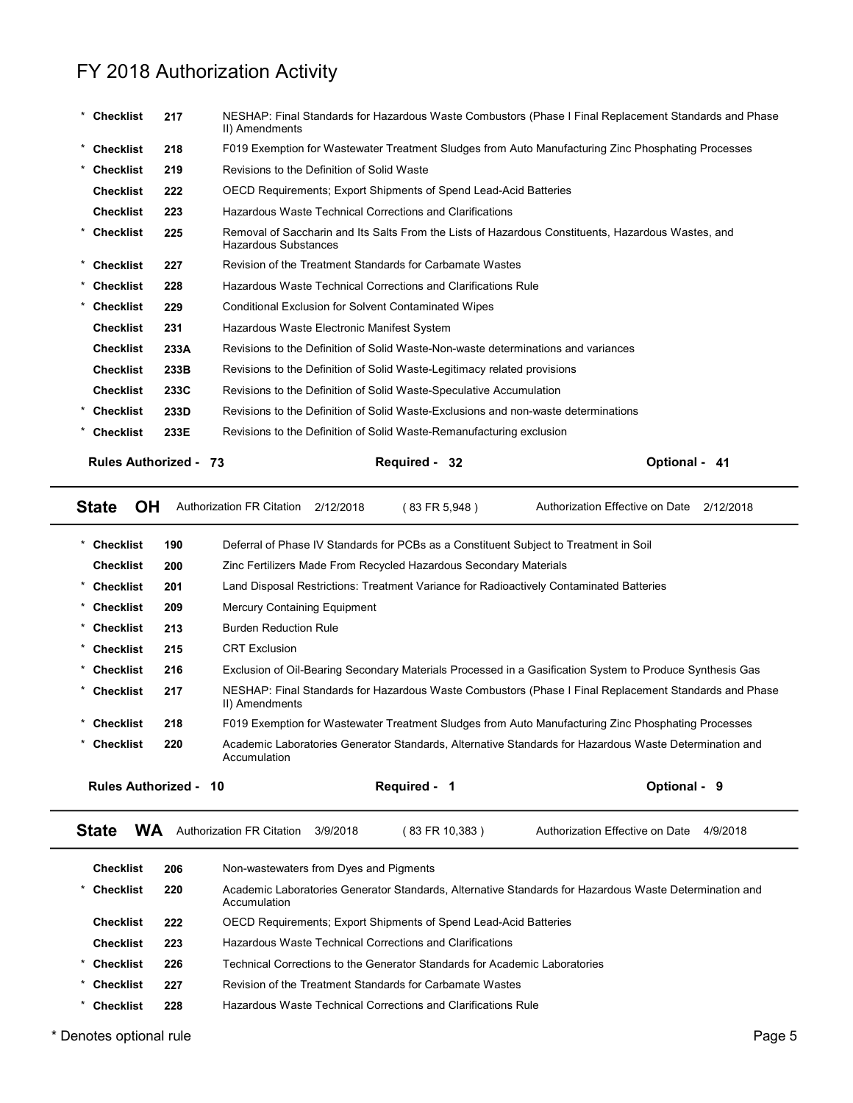|                              |      | FY 2018 Authorization Activity                                                                                                    |                                           |
|------------------------------|------|-----------------------------------------------------------------------------------------------------------------------------------|-------------------------------------------|
| * Checklist                  | 217  | NESHAP: Final Standards for Hazardous Waste Combustors (Phase I Final Replacement Standards and Phase<br>II) Amendments           |                                           |
| * Checklist                  | 218  | F019 Exemption for Wastewater Treatment Sludges from Auto Manufacturing Zinc Phosphating Processes                                |                                           |
| * Checklist                  | 219  | Revisions to the Definition of Solid Waste                                                                                        |                                           |
| <b>Checklist</b>             | 222  | OECD Requirements; Export Shipments of Spend Lead-Acid Batteries                                                                  |                                           |
| <b>Checklist</b>             | 223  | Hazardous Waste Technical Corrections and Clarifications                                                                          |                                           |
| * Checklist                  | 225  | Removal of Saccharin and Its Salts From the Lists of Hazardous Constituents, Hazardous Wastes, and<br><b>Hazardous Substances</b> |                                           |
| <b>Checklist</b>             | 227  | Revision of the Treatment Standards for Carbamate Wastes                                                                          |                                           |
| <b>Checklist</b>             | 228  | Hazardous Waste Technical Corrections and Clarifications Rule                                                                     |                                           |
| <b>Checklist</b>             | 229  | <b>Conditional Exclusion for Solvent Contaminated Wipes</b>                                                                       |                                           |
| <b>Checklist</b>             | 231  | Hazardous Waste Electronic Manifest System                                                                                        |                                           |
| <b>Checklist</b>             | 233A | Revisions to the Definition of Solid Waste-Non-waste determinations and variances                                                 |                                           |
| <b>Checklist</b>             | 233B | Revisions to the Definition of Solid Waste-Legitimacy related provisions                                                          |                                           |
| <b>Checklist</b>             | 233C | Revisions to the Definition of Solid Waste-Speculative Accumulation                                                               |                                           |
| * Checklist                  | 233D | Revisions to the Definition of Solid Waste-Exclusions and non-waste determinations                                                |                                           |
| Checklist                    | 233E | Revisions to the Definition of Solid Waste-Remanufacturing exclusion                                                              |                                           |
| <b>Rules Authorized - 73</b> |      | Required - 32                                                                                                                     | Optional - 41                             |
| <b>OH</b><br><b>State</b>    |      | Authorization FR Citation<br>2/12/2018<br>(83 FR 5,948)                                                                           | Authorization Effective on Date 2/12/2018 |
| * Checklist                  | 190  | Deferral of Phase IV Standards for PCBs as a Constituent Subject to Treatment in Soil                                             |                                           |
| <b>Checklist</b>             | 200  | Zinc Fertilizers Made From Recycled Hazardous Secondary Materials                                                                 |                                           |
| <b>Checklist</b>             | 201  | Land Disposal Restrictions: Treatment Variance for Radioactively Contaminated Batteries                                           |                                           |
| * Checklist                  | 209  | Mercury Containing Equipment                                                                                                      |                                           |
| * Checklist                  | 213  | <b>Burden Reduction Rule</b>                                                                                                      |                                           |
| <b>Checklist</b>             | 215  | <b>CRT Exclusion</b>                                                                                                              |                                           |
| <b>Checklist</b>             | 216  | Exclusion of Oil-Bearing Secondary Materials Processed in a Gasification System to Produce Synthesis Gas                          |                                           |

| <b>Rules Authorized -</b> | Required - | <b>Optional -</b> |
|---------------------------|------------|-------------------|
| -73                       | -32        | 41                |
|                           |            |                   |

| <b>Checklist</b> |           | 233E                         |                                        |           | Revisions to the Definition of Solid Waste-Remanufacturing exclusion                                     |                                 |               |              |  |
|------------------|-----------|------------------------------|----------------------------------------|-----------|----------------------------------------------------------------------------------------------------------|---------------------------------|---------------|--------------|--|
|                  |           | <b>Rules Authorized - 73</b> |                                        |           | Required - 32                                                                                            |                                 | Optional - 41 |              |  |
| <b>State</b>     | OH        |                              | <b>Authorization FR Citation</b>       | 2/12/2018 | (83 FR 5,948)                                                                                            | Authorization Effective on Date |               | 2/12/2018    |  |
| <b>Checklist</b> |           | 190                          |                                        |           | Deferral of Phase IV Standards for PCBs as a Constituent Subject to Treatment in Soil                    |                                 |               |              |  |
| <b>Checklist</b> |           | 200                          |                                        |           | Zinc Fertilizers Made From Recycled Hazardous Secondary Materials                                        |                                 |               |              |  |
| <b>Checklist</b> |           | 201                          |                                        |           | Land Disposal Restrictions: Treatment Variance for Radioactively Contaminated Batteries                  |                                 |               |              |  |
| <b>Checklist</b> |           | 209                          | <b>Mercury Containing Equipment</b>    |           |                                                                                                          |                                 |               |              |  |
| Checklist        |           | 213                          | <b>Burden Reduction Rule</b>           |           |                                                                                                          |                                 |               |              |  |
| <b>Checklist</b> |           | 215                          | <b>CRT</b> Exclusion                   |           |                                                                                                          |                                 |               |              |  |
| <b>Checklist</b> |           | 216                          |                                        |           | Exclusion of Oil-Bearing Secondary Materials Processed in a Gasification System to Produce Synthesis Gas |                                 |               |              |  |
| <b>Checklist</b> |           | 217                          | II) Amendments                         |           | NESHAP: Final Standards for Hazardous Waste Combustors (Phase I Final Replacement Standards and Phase    |                                 |               |              |  |
| <b>Checklist</b> |           | 218                          |                                        |           | F019 Exemption for Wastewater Treatment Sludges from Auto Manufacturing Zinc Phosphating Processes       |                                 |               |              |  |
| <b>Checklist</b> |           | 220                          | Accumulation                           |           | Academic Laboratories Generator Standards, Alternative Standards for Hazardous Waste Determination and   |                                 |               |              |  |
|                  |           | <b>Rules Authorized - 10</b> |                                        |           | Required - 1                                                                                             |                                 | Optional - 9  |              |  |
| State            | <b>WA</b> |                              | Authorization FR Citation              | 3/9/2018  | (83 FR 10,383)                                                                                           | Authorization Effective on Date |               | 4/9/2018     |  |
| <b>Checklist</b> |           | 206                          | Non-wastewaters from Dyes and Pigments |           |                                                                                                          |                                 |               |              |  |
| <b>Checklist</b> |           | 220                          | Accumulation                           |           | Academic Laboratories Generator Standards, Alternative Standards for Hazardous Waste Determination and   |                                 |               |              |  |
| <b>Checklist</b> |           | 222                          |                                        |           | OECD Requirements; Export Shipments of Spend Lead-Acid Batteries                                         |                                 |               |              |  |
| <b>Checklist</b> |           | 223                          |                                        |           | Hazardous Waste Technical Corrections and Clarifications                                                 |                                 |               |              |  |
| <b>Checklist</b> |           | 226                          |                                        |           | Technical Corrections to the Generator Standards for Academic Laboratories                               |                                 |               |              |  |
| <b>Checklist</b> |           | 227                          |                                        |           | Revision of the Treatment Standards for Carbamate Wastes                                                 |                                 |               |              |  |
| <b>Checklist</b> |           | 228                          |                                        |           | Hazardous Waste Technical Corrections and Clarifications Rule                                            |                                 |               |              |  |
|                  |           |                              |                                        |           |                                                                                                          |                                 |               | <b>D.L.P</b> |  |

| <b>Checklist</b>     | 206 | Non-wastewaters from Dyes and Pigments                                                                                 |
|----------------------|-----|------------------------------------------------------------------------------------------------------------------------|
| Checklist            | 220 | Academic Laboratories Generator Standards, Alternative Standards for Hazardous Waste Determination and<br>Accumulation |
| Checklist            | 222 | <b>OECD Requirements: Export Shipments of Spend Lead-Acid Batteries</b>                                                |
| <b>Checklist</b>     | 223 | Hazardous Waste Technical Corrections and Clarifications                                                               |
| Checklist<br>*       | 226 | Technical Corrections to the Generator Standards for Academic Laboratories                                             |
| Checklist<br>$\star$ | 227 | Revision of the Treatment Standards for Carbamate Wastes                                                               |
| <b>Checklist</b>     | 228 | Hazardous Waste Technical Corrections and Clarifications Rule                                                          |
|                      |     |                                                                                                                        |

\* Denotes optional rule Page 5